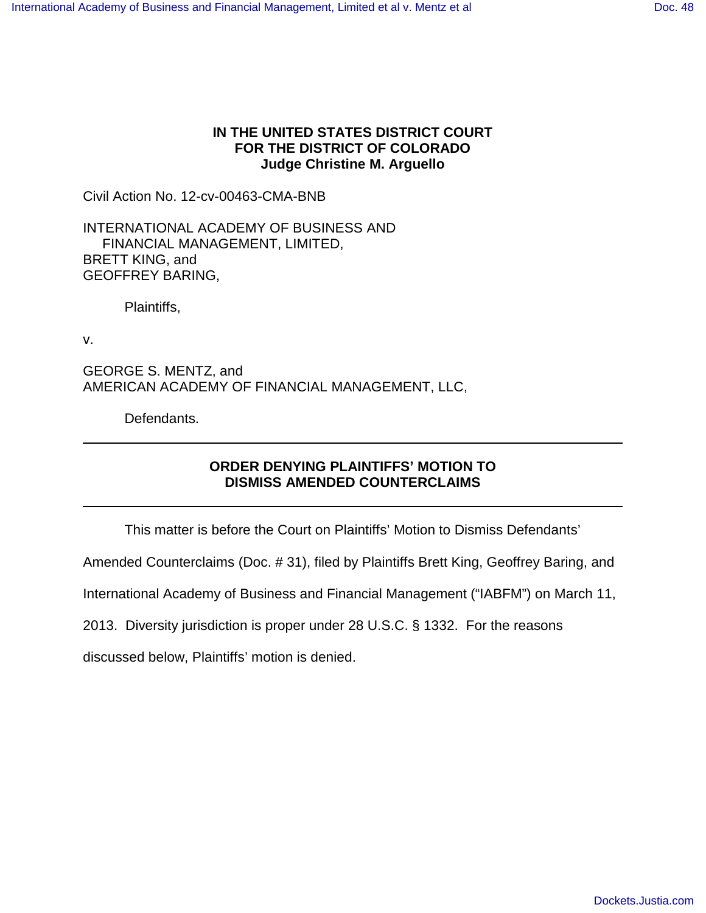# **IN THE UNITED STATES DISTRICT COURT FOR THE DISTRICT OF COLORADO Judge Christine M. Arguello**

Civil Action No. 12-cv-00463-CMA-BNB

INTERNATIONAL ACADEMY OF BUSINESS AND FINANCIAL MANAGEMENT, LIMITED, BRETT KING, and GEOFFREY BARING,

Plaintiffs,

v.

GEORGE S. MENTZ, and AMERICAN ACADEMY OF FINANCIAL MANAGEMENT, LLC,

Defendants.

# **ORDER DENYING PLAINTIFFS' MOTION TO DISMISS AMENDED COUNTERCLAIMS**

This matter is before the Court on Plaintiffs' Motion to Dismiss Defendants'

Amended Counterclaims (Doc. # 31), filed by Plaintiffs Brett King, Geoffrey Baring, and

International Academy of Business and Financial Management ("IABFM") on March 11,

2013. Diversity jurisdiction is proper under 28 U.S.C. § 1332. For the reasons

discussed below, Plaintiffs' motion is denied.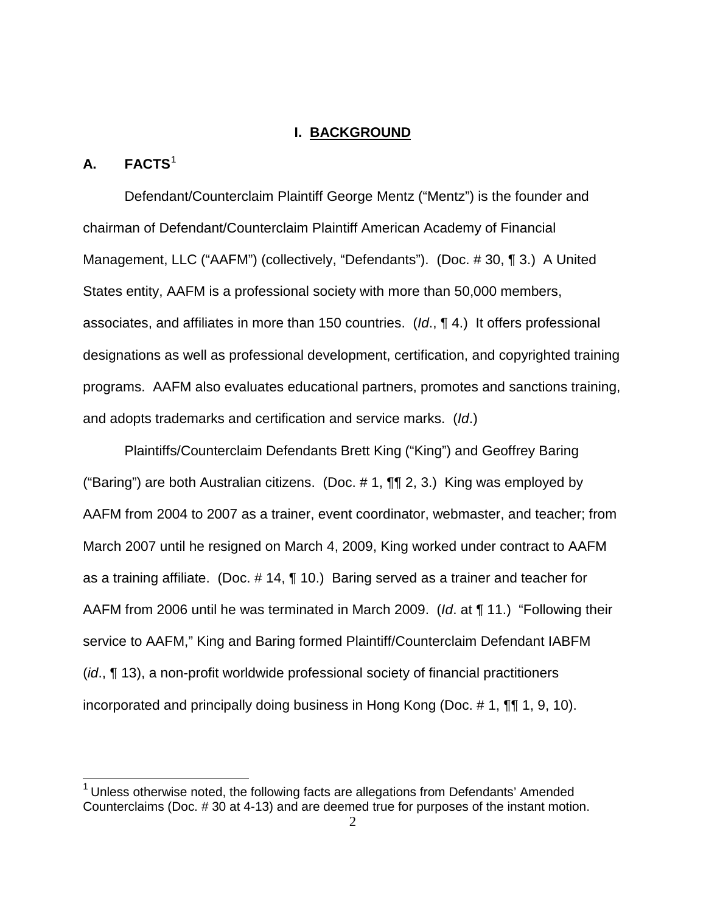### **I. BACKGROUND**

# **A. FACTS**[1](#page-16-0)

1

Defendant/Counterclaim Plaintiff George Mentz ("Mentz") is the founder and chairman of Defendant/Counterclaim Plaintiff American Academy of Financial Management, LLC ("AAFM") (collectively, "Defendants"). (Doc. # 30, ¶ 3.) A United States entity, AAFM is a professional society with more than 50,000 members, associates, and affiliates in more than 150 countries. (Id., ¶ 4.) It offers professional designations as well as professional development, certification, and copyrighted training programs. AAFM also evaluates educational partners, promotes and sanctions training, and adopts trademarks and certification and service marks. (Id.)

Plaintiffs/Counterclaim Defendants Brett King ("King") and Geoffrey Baring ("Baring") are both Australian citizens. (Doc.  $\#$  1,  $\P\P$  2, 3.) King was employed by AAFM from 2004 to 2007 as a trainer, event coordinator, webmaster, and teacher; from March 2007 until he resigned on March 4, 2009, King worked under contract to AAFM as a training affiliate. (Doc. # 14, ¶ 10.) Baring served as a trainer and teacher for AAFM from 2006 until he was terminated in March 2009. (Id. at ¶ 11.) "Following their service to AAFM," King and Baring formed Plaintiff/Counterclaim Defendant IABFM (id., ¶ 13), a non-profit worldwide professional society of financial practitioners incorporated and principally doing business in Hong Kong (Doc. # 1, ¶¶ 1, 9, 10).

<span id="page-1-0"></span> $1$  Unless otherwise noted, the following facts are allegations from Defendants' Amended Counterclaims (Doc. # 30 at 4-13) and are deemed true for purposes of the instant motion.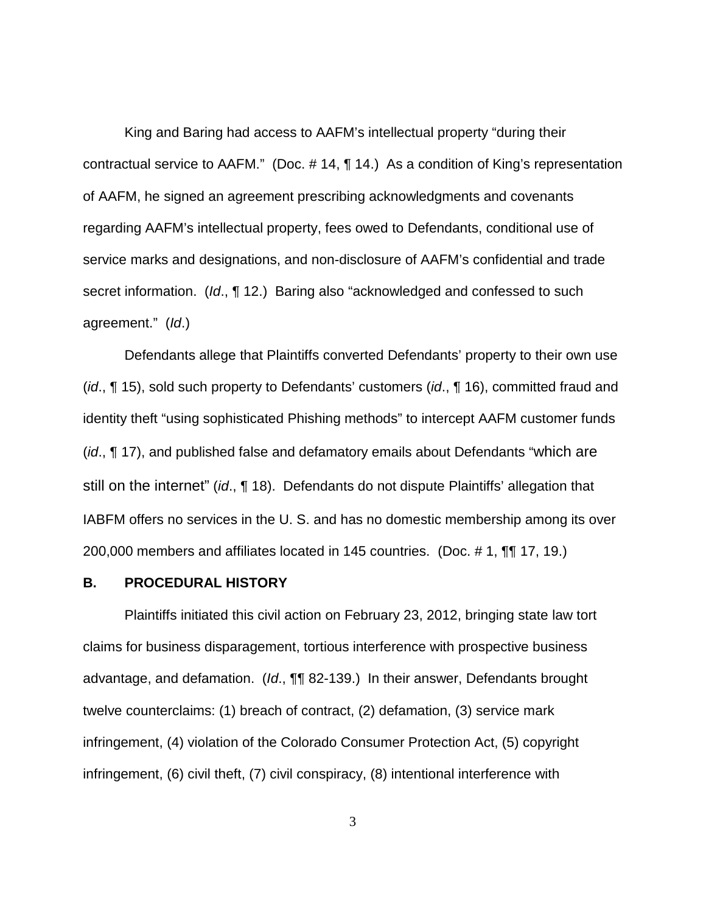King and Baring had access to AAFM's intellectual property "during their contractual service to AAFM." (Doc. # 14, ¶ 14.) As a condition of King's representation of AAFM, he signed an agreement prescribing acknowledgments and covenants regarding AAFM's intellectual property, fees owed to Defendants, conditional use of service marks and designations, and non-disclosure of AAFM's confidential and trade secret information. (Id., 112.) Baring also "acknowledged and confessed to such agreement." (Id.)

Defendants allege that Plaintiffs converted Defendants' property to their own use (id., ¶ 15), sold such property to Defendants' customers (id., ¶ 16), committed fraud and identity theft "using sophisticated Phishing methods" to intercept AAFM customer funds (id., ¶ 17), and published false and defamatory emails about Defendants "which are still on the internet" (id., ¶ 18). Defendants do not dispute Plaintiffs' allegation that IABFM offers no services in the U. S. and has no domestic membership among its over 200,000 members and affiliates located in 145 countries. (Doc. # 1, ¶¶ 17, 19.)

#### **B. PROCEDURAL HISTORY**

Plaintiffs initiated this civil action on February 23, 2012, bringing state law tort claims for business disparagement, tortious interference with prospective business advantage, and defamation. (Id., ¶¶ 82-139.) In their answer, Defendants brought twelve counterclaims: (1) breach of contract, (2) defamation, (3) service mark infringement, (4) violation of the Colorado Consumer Protection Act, (5) copyright infringement, (6) civil theft, (7) civil conspiracy, (8) intentional interference with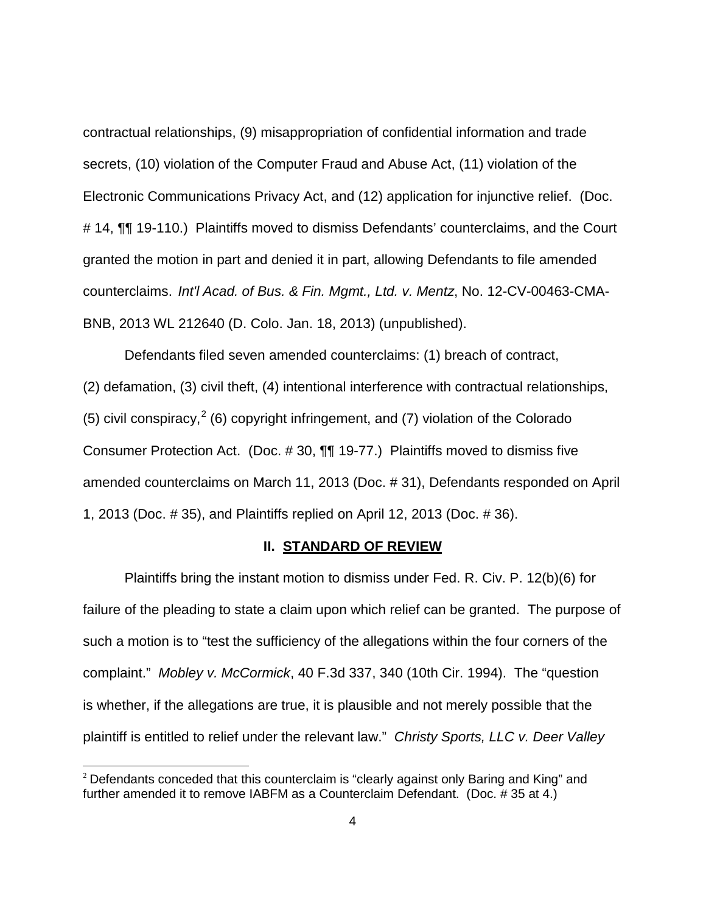contractual relationships, (9) misappropriation of confidential information and trade secrets, (10) violation of the Computer Fraud and Abuse Act, (11) violation of the Electronic Communications Privacy Act, and (12) application for injunctive relief. (Doc. # 14, **¶¶** 19-110.) Plaintiffs moved to dismiss Defendants' counterclaims, and the Court granted the motion in part and denied it in part, allowing Defendants to file amended counterclaims. Int'l Acad. of Bus. & Fin. Mgmt., Ltd. v. Mentz, No. 12-CV-00463-CMA-BNB, 2013 WL 212640 (D. Colo. Jan. 18, 2013) (unpublished).

Defendants filed seven amended counterclaims: (1) breach of contract, (2) defamation, (3) civil theft, (4) intentional interference with contractual relationships, (5) civil conspiracy,  $2$  (6) copyright infringement, and (7) violation of the Colorado Consumer Protection Act. (Doc. # 30, ¶¶ 19-77.) Plaintiffs moved to dismiss five amended counterclaims on March 11, 2013 (Doc. # 31), Defendants responded on April 1, 2013 (Doc. # 35), and Plaintiffs replied on April 12, 2013 (Doc. # 36).

### **II. STANDARD OF REVIEW**

Plaintiffs bring the instant motion to dismiss under Fed. R. Civ. P. 12(b)(6) for failure of the pleading to state a claim upon which relief can be granted. The purpose of such a motion is to "test the sufficiency of the allegations within the four corners of the complaint." Mobley v. McCormick, 40 F.3d 337, 340 (10th Cir. 1994). The "question is whether, if the allegations are true, it is plausible and not merely possible that the plaintiff is entitled to relief under the relevant law." Christy Sports, LLC v. Deer Valley

<span id="page-3-0"></span>-

<sup>&</sup>lt;sup>2</sup> Defendants conceded that this counterclaim is "clearly against only Baring and King" and further amended it to remove IABFM as a Counterclaim Defendant. (Doc. # 35 at 4.)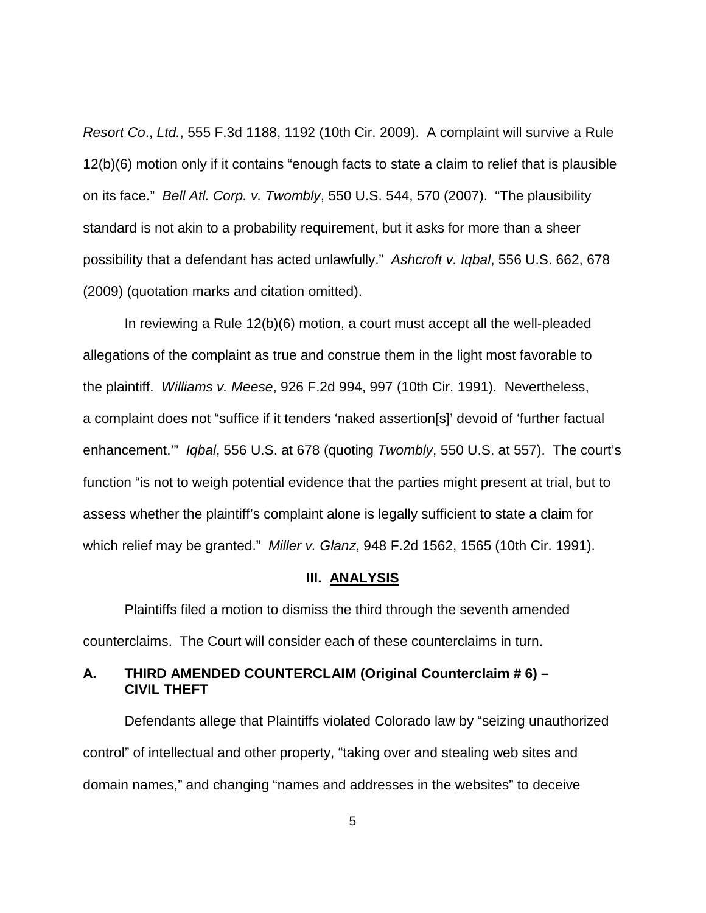Resort Co., Ltd., 555 F.3d 1188, 1192 (10th Cir. 2009). A complaint will survive a Rule 12(b)(6) motion only if it contains "enough facts to state a claim to relief that is plausible on its face." Bell Atl. Corp. v. Twombly, 550 U.S. 544, 570 (2007). "The plausibility standard is not akin to a probability requirement, but it asks for more than a sheer possibility that a defendant has acted unlawfully." Ashcroft v. Iqbal, 556 U.S. 662, 678 (2009) (quotation marks and citation omitted).

In reviewing a Rule 12(b)(6) motion, a court must accept all the well-pleaded allegations of the complaint as true and construe them in the light most favorable to the plaintiff. Williams v. Meese, 926 F.2d 994, 997 (10th Cir. 1991). Nevertheless, a complaint does not "suffice if it tenders 'naked assertion[s]' devoid of 'further factual enhancement.'" Iqbal, 556 U.S. at 678 (quoting Twombly, 550 U.S. at 557). The court's function "is not to weigh potential evidence that the parties might present at trial, but to assess whether the plaintiff's complaint alone is legally sufficient to state a claim for which relief may be granted." Miller v. Glanz, 948 F.2d 1562, 1565 (10th Cir. 1991).

#### **III. ANALYSIS**

Plaintiffs filed a motion to dismiss the third through the seventh amended counterclaims. The Court will consider each of these counterclaims in turn.

# **A. THIRD AMENDED COUNTERCLAIM (Original Counterclaim # 6) – CIVIL THEFT**

Defendants allege that Plaintiffs violated Colorado law by "seizing unauthorized control" of intellectual and other property, "taking over and stealing web sites and domain names," and changing "names and addresses in the websites" to deceive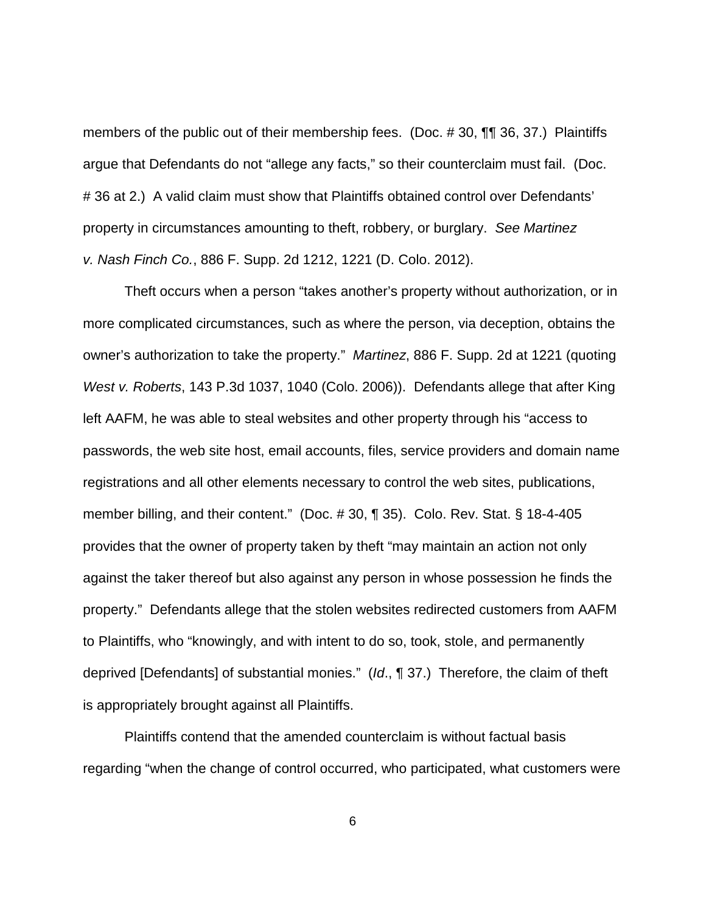members of the public out of their membership fees. (Doc. #30, ¶¶ 36, 37.) Plaintiffs argue that Defendants do not "allege any facts," so their counterclaim must fail. (Doc. # 36 at 2.) A valid claim must show that Plaintiffs obtained control over Defendants' property in circumstances amounting to theft, robbery, or burglary. See Martinez v. Nash Finch Co., 886 F. Supp. 2d 1212, 1221 (D. Colo. 2012).

Theft occurs when a person "takes another's property without authorization, or in more complicated circumstances, such as where the person, via deception, obtains the owner's authorization to take the property." Martinez, 886 F. Supp. 2d at 1221 (quoting West v. Roberts, 143 P.3d 1037, 1040 (Colo. 2006)). Defendants allege that after King left AAFM, he was able to steal websites and other property through his "access to passwords, the web site host, email accounts, files, service providers and domain name registrations and all other elements necessary to control the web sites, publications, member billing, and their content." (Doc. # 30, ¶ 35). Colo. Rev. Stat. § 18-4-405 provides that the owner of property taken by theft "may maintain an action not only against the taker thereof but also against any person in whose possession he finds the property." Defendants allege that the stolen websites redirected customers from AAFM to Plaintiffs, who "knowingly, and with intent to do so, took, stole, and permanently deprived [Defendants] of substantial monies." (Id., ¶ 37.) Therefore, the claim of theft is appropriately brought against all Plaintiffs.

Plaintiffs contend that the amended counterclaim is without factual basis regarding "when the change of control occurred, who participated, what customers were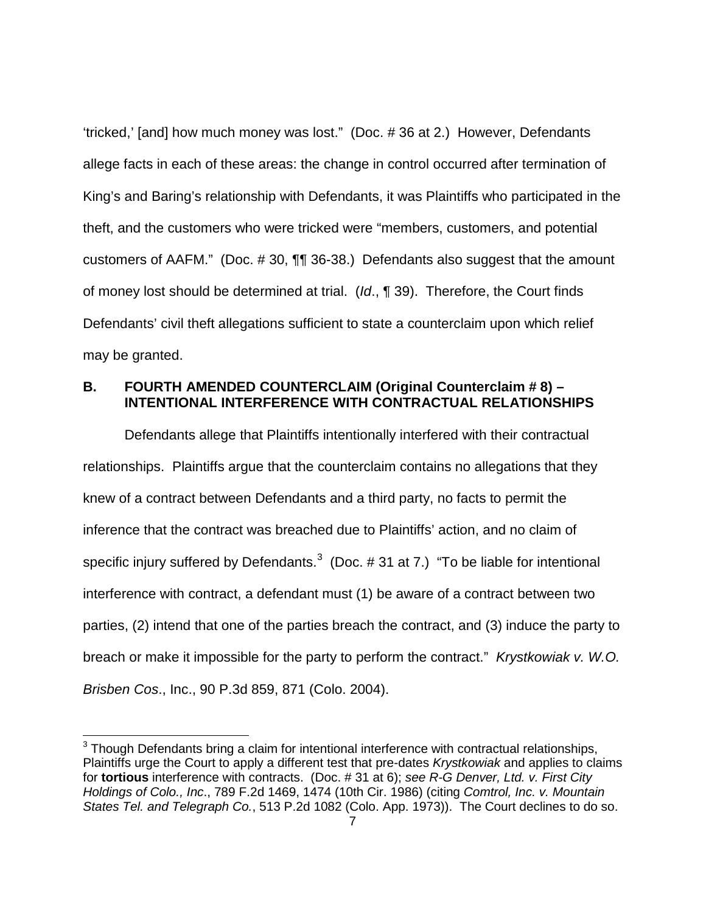'tricked,' [and] how much money was lost." (Doc. # 36 at 2.) However, Defendants allege facts in each of these areas: the change in control occurred after termination of King's and Baring's relationship with Defendants, it was Plaintiffs who participated in the theft, and the customers who were tricked were "members, customers, and potential customers of AAFM." (Doc. # 30, ¶¶ 36-38.) Defendants also suggest that the amount of money lost should be determined at trial. (Id., ¶ 39). Therefore, the Court finds Defendants' civil theft allegations sufficient to state a counterclaim upon which relief may be granted.

# **B. FOURTH AMENDED COUNTERCLAIM (Original Counterclaim # 8) – INTENTIONAL INTERFERENCE WITH CONTRACTUAL RELATIONSHIPS**

Defendants allege that Plaintiffs intentionally interfered with their contractual relationships. Plaintiffs argue that the counterclaim contains no allegations that they knew of a contract between Defendants and a third party, no facts to permit the inference that the contract was breached due to Plaintiffs' action, and no claim of specific injury suffered by Defendants. $3$  (Doc. # 31 at 7.) "To be liable for intentional interference with contract, a defendant must (1) be aware of a contract between two parties, (2) intend that one of the parties breach the contract, and (3) induce the party to breach or make it impossible for the party to perform the contract." Krystkowiak v. W.O. Brisben Cos., Inc., 90 P.3d 859, 871 (Colo. 2004).

 $\overline{a}$ 

<span id="page-6-0"></span> $3$  Though Defendants bring a claim for intentional interference with contractual relationships, Plaintiffs urge the Court to apply a different test that pre-dates Krystkowiak and applies to claims for **tortious** interference with contracts. (Doc. # 31 at 6); see R-G Denver, Ltd. v. First City Holdings of Colo., Inc., 789 F.2d 1469, 1474 (10th Cir. 1986) (citing Comtrol, Inc. v. Mountain States Tel. and Telegraph Co., 513 P.2d 1082 (Colo. App. 1973)). The Court declines to do so.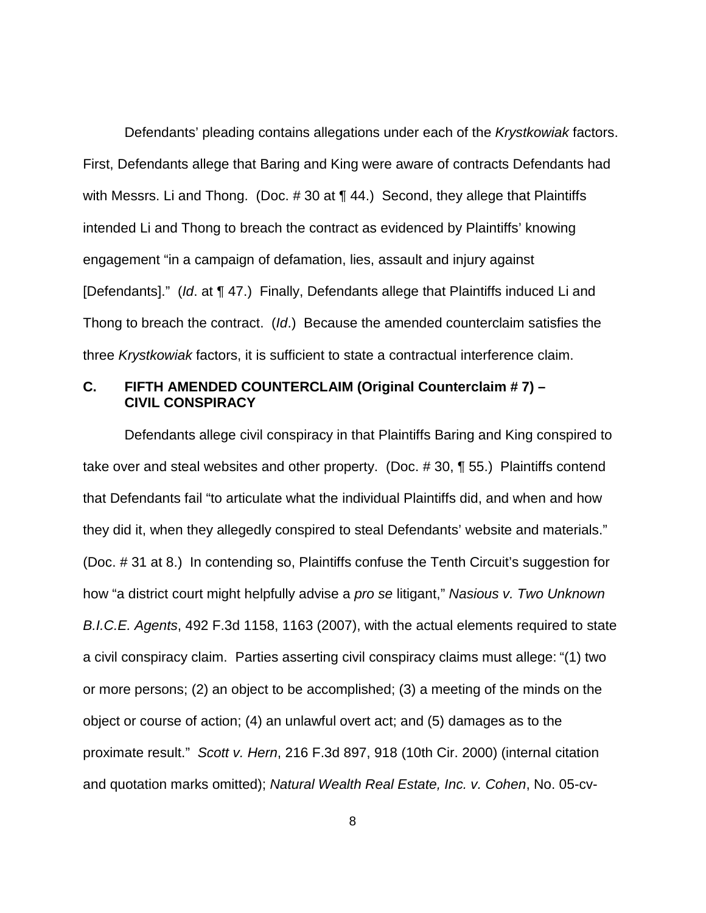Defendants' pleading contains allegations under each of the Krystkowiak factors. First, Defendants allege that Baring and King were aware of contracts Defendants had with Messrs. Li and Thong. (Doc. #30 at ¶ 44.) Second, they allege that Plaintiffs intended Li and Thong to breach the contract as evidenced by Plaintiffs' knowing engagement "in a campaign of defamation, lies, assault and injury against [Defendants]." (Id. at ¶ 47.) Finally, Defendants allege that Plaintiffs induced Li and Thong to breach the contract. (Id.) Because the amended counterclaim satisfies the three Krystkowiak factors, it is sufficient to state a contractual interference claim.

## **C. FIFTH AMENDED COUNTERCLAIM (Original Counterclaim # 7) – CIVIL CONSPIRACY**

Defendants allege civil conspiracy in that Plaintiffs Baring and King conspired to take over and steal websites and other property. (Doc. # 30, ¶ 55.) Plaintiffs contend that Defendants fail "to articulate what the individual Plaintiffs did, and when and how they did it, when they allegedly conspired to steal Defendants' website and materials." (Doc. # 31 at 8.) In contending so, Plaintiffs confuse the Tenth Circuit's suggestion for how "a district court might helpfully advise a *pro se* litigant," Nasious v. Two Unknown B.I.C.E. Agents, 492 F.3d 1158, 1163 (2007), with the actual elements required to state a civil conspiracy claim. Parties asserting civil conspiracy claims must allege: "(1) two or more persons; (2) an object to be accomplished; (3) a meeting of the minds on the object or course of action; (4) an unlawful overt act; and (5) damages as to the proximate result." Scott v. Hern, 216 F.3d 897, 918 (10th Cir. 2000) (internal citation and quotation marks omitted); Natural Wealth Real Estate, Inc. v. Cohen, No. 05-cv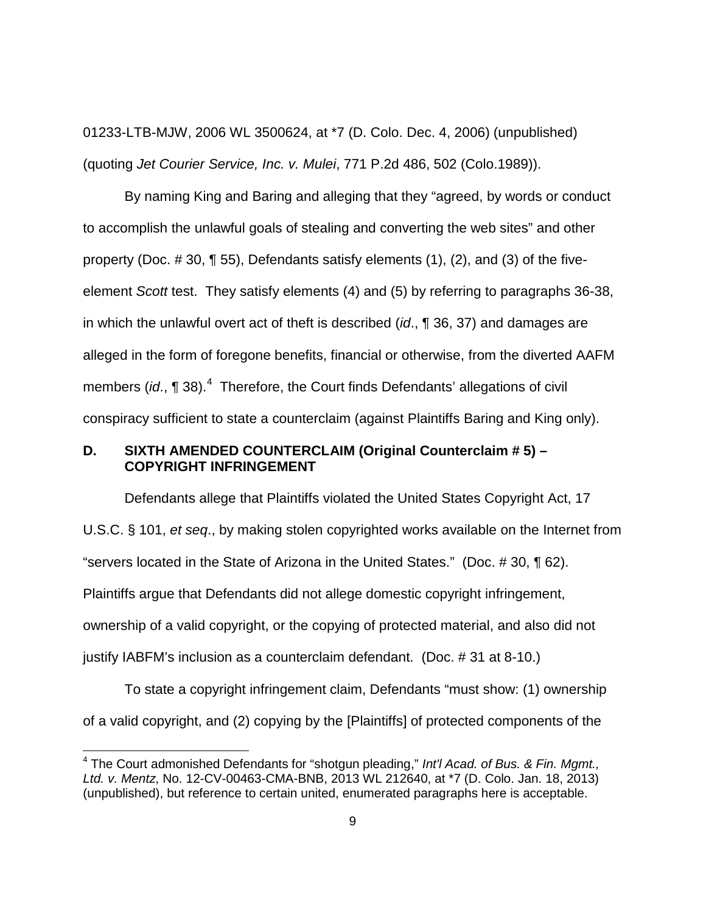01233-LTB-MJW, 2006 WL 3500624, at \*7 (D. Colo. Dec. 4, 2006) (unpublished) (quoting Jet Courier Service, Inc. v. Mulei, 771 P.2d 486, 502 (Colo.1989)).

By naming King and Baring and alleging that they "agreed, by words or conduct to accomplish the unlawful goals of stealing and converting the web sites" and other property (Doc. # 30, ¶ 55), Defendants satisfy elements (1), (2), and (3) of the fiveelement Scott test. They satisfy elements (4) and (5) by referring to paragraphs 36-38, in which the unlawful overt act of theft is described (id.,  $\P$  36, 37) and damages are alleged in the form of foregone benefits, financial or otherwise, from the diverted AAFM members (id.,  $\P$  38).<sup>[4](#page-6-0)</sup> Therefore, the Court finds Defendants' allegations of civil conspiracy sufficient to state a counterclaim (against Plaintiffs Baring and King only).

## **D. SIXTH AMENDED COUNTERCLAIM (Original Counterclaim # 5) – COPYRIGHT INFRINGEMENT**

Defendants allege that Plaintiffs violated the United States Copyright Act, 17 U.S.C. § 101, et seq., by making stolen copyrighted works available on the Internet from "servers located in the State of Arizona in the United States." (Doc. # 30, ¶ 62). Plaintiffs argue that Defendants did not allege domestic copyright infringement, ownership of a valid copyright, or the copying of protected material, and also did not justify IABFM's inclusion as a counterclaim defendant. (Doc. # 31 at 8-10.)

<span id="page-8-0"></span>To state a copyright infringement claim, Defendants "must show: (1) ownership of a valid copyright, and (2) copying by the [Plaintiffs] of protected components of the

 $\overline{a}$ 

 $4$  The Court admonished Defendants for "shotgun pleading," Int'l Acad. of Bus. & Fin. Mgmt., Ltd. v. Mentz, No. 12-CV-00463-CMA-BNB, 2013 WL 212640, at \*7 (D. Colo. Jan. 18, 2013) (unpublished), but reference to certain united, enumerated paragraphs here is acceptable.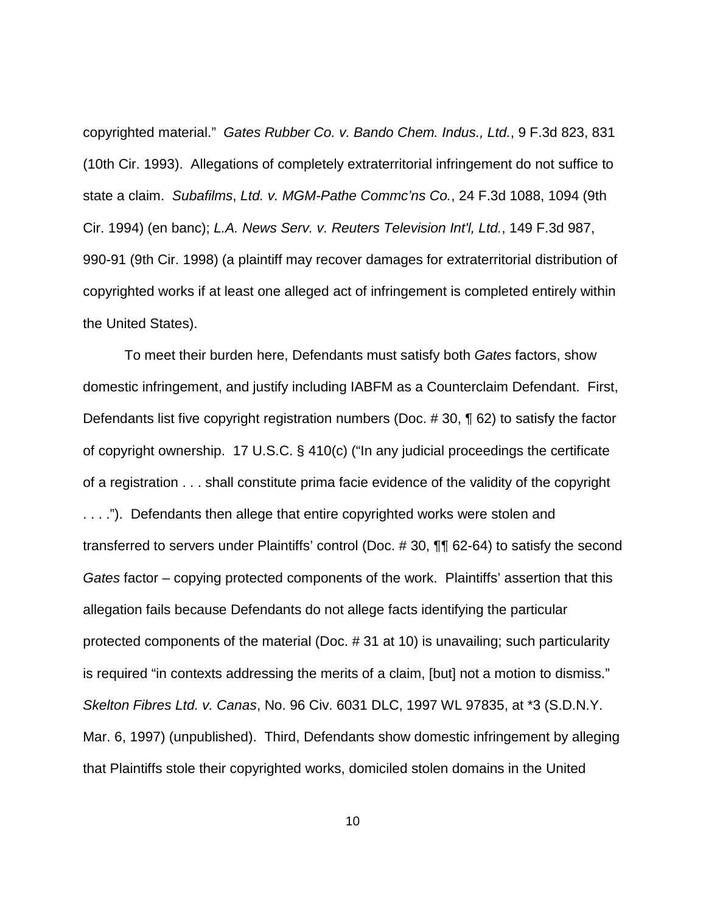copyrighted material." Gates Rubber Co. v. Bando Chem. Indus., Ltd., 9 F.3d 823, 831 (10th Cir. 1993). Allegations of completely extraterritorial infringement do not suffice to state a claim. Subafilms, Ltd. v. MGM-Pathe Commc'ns Co., 24 F.3d 1088, 1094 (9th Cir. 1994) (en banc); L.A. News Serv. v. Reuters Television Int'l, Ltd., 149 F.3d 987, 990-91 (9th Cir. 1998) (a plaintiff may recover damages for extraterritorial distribution of copyrighted works if at least one alleged act of infringement is completed entirely within the United States).

To meet their burden here, Defendants must satisfy both Gates factors, show domestic infringement, and justify including IABFM as a Counterclaim Defendant. First, Defendants list five copyright registration numbers (Doc. # 30, ¶ 62) to satisfy the factor of copyright ownership. 17 U.S.C. § 410(c) ("In any judicial proceedings the certificate of a registration . . . shall constitute prima facie evidence of the validity of the copyright . . . ."). Defendants then allege that entire copyrighted works were stolen and transferred to servers under Plaintiffs' control (Doc. # 30, ¶¶ 62-64) to satisfy the second Gates factor – copying protected components of the work. Plaintiffs' assertion that this allegation fails because Defendants do not allege facts identifying the particular protected components of the material (Doc. # 31 at 10) is unavailing; such particularity is required "in contexts addressing the merits of a claim, [but] not a motion to dismiss." Skelton Fibres Ltd. v. Canas, No. 96 Civ. 6031 DLC, 1997 WL 97835, at \*3 (S.D.N.Y. Mar. 6, 1997) (unpublished). Third, Defendants show domestic infringement by alleging that Plaintiffs stole their copyrighted works, domiciled stolen domains in the United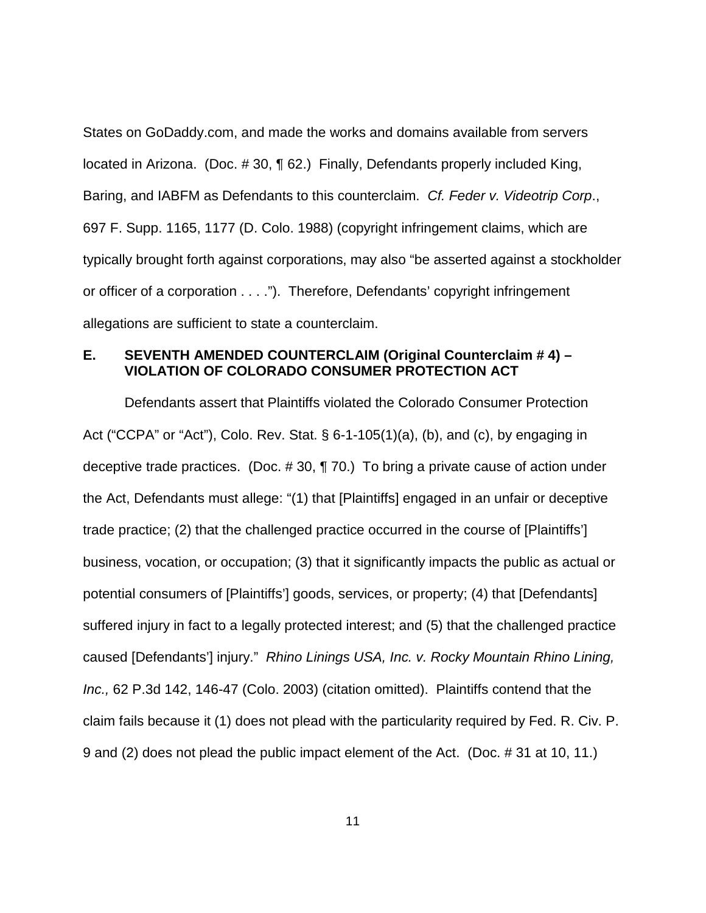States on GoDaddy.com, and made the works and domains available from servers located in Arizona. (Doc. # 30, ¶ 62.) Finally, Defendants properly included King, Baring, and IABFM as Defendants to this counterclaim. Cf. Feder v. Videotrip Corp., 697 F. Supp. 1165, 1177 (D. Colo. 1988) (copyright infringement claims, which are typically brought forth against corporations, may also "be asserted against a stockholder or officer of a corporation . . . ."). Therefore, Defendants' copyright infringement allegations are sufficient to state a counterclaim.

### **E. SEVENTH AMENDED COUNTERCLAIM (Original Counterclaim # 4) – VIOLATION OF COLORADO CONSUMER PROTECTION ACT**

Defendants assert that Plaintiffs violated the Colorado Consumer Protection Act ("CCPA" or "Act"), Colo. Rev. Stat. § 6-1-105(1)(a), (b), and (c), by engaging in deceptive trade practices. (Doc. # 30, ¶ 70.) To bring a private cause of action under the Act, Defendants must allege: "(1) that [Plaintiffs] engaged in an unfair or deceptive trade practice; (2) that the challenged practice occurred in the course of [Plaintiffs'] business, vocation, or occupation; (3) that it significantly impacts the public as actual or potential consumers of [Plaintiffs'] goods, services, or property; (4) that [Defendants] suffered injury in fact to a legally protected interest; and (5) that the challenged practice caused [Defendants'] injury." Rhino Linings USA, Inc. v. Rocky Mountain Rhino Lining, Inc., 62 P.3d 142, 146-47 (Colo. 2003) (citation omitted). Plaintiffs contend that the claim fails because it (1) does not plead with the particularity required by Fed. R. Civ. P. 9 and (2) does not plead the public impact element of the Act. (Doc. # 31 at 10, 11.)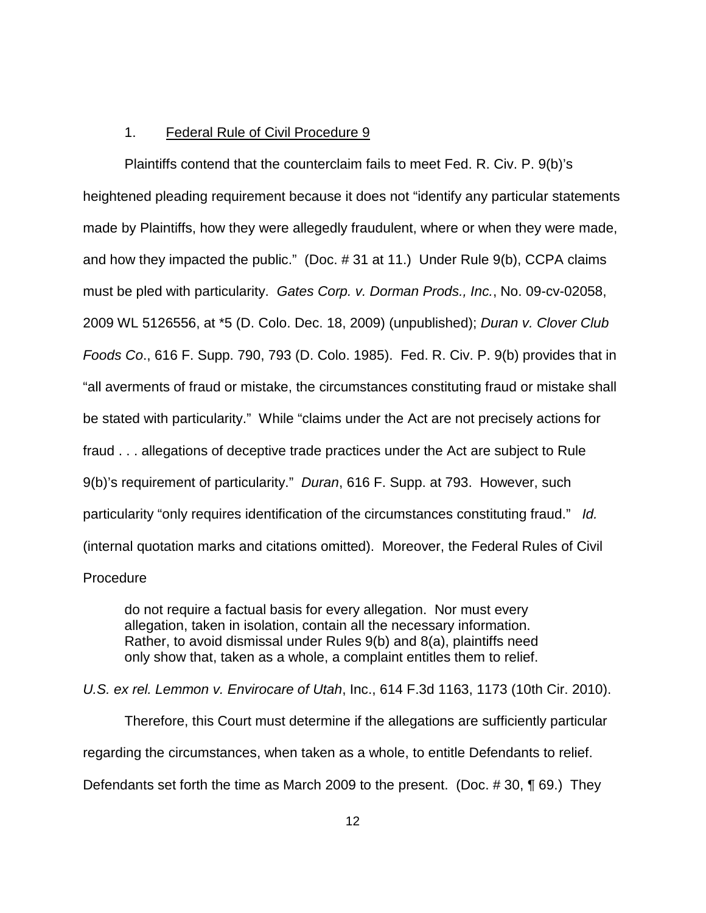### 1. Federal Rule of Civil Procedure 9

Plaintiffs contend that the counterclaim fails to meet Fed. R. Civ. P. 9(b)'s heightened pleading requirement because it does not "identify any particular statements made by Plaintiffs, how they were allegedly fraudulent, where or when they were made, and how they impacted the public." (Doc. # 31 at 11.) Under Rule 9(b), CCPA claims must be pled with particularity. Gates Corp. v. Dorman Prods., Inc., No. 09-cv-02058, 2009 WL 5126556, at \*5 (D. Colo. Dec. 18, 2009) (unpublished); Duran v. Clover Club Foods Co., 616 F. Supp. 790, 793 (D. Colo. 1985). Fed. R. Civ. P. 9(b) provides that in "all averments of fraud or mistake, the circumstances constituting fraud or mistake shall be stated with particularity." While "claims under the Act are not precisely actions for fraud . . . allegations of deceptive trade practices under the Act are subject to Rule 9(b)'s requirement of particularity." Duran, 616 F. Supp. at 793. However, such particularity "only requires identification of the circumstances constituting fraud." Id. (internal quotation marks and citations omitted). Moreover, the Federal Rules of Civil Procedure

do not require a factual basis for every allegation. Nor must every allegation, taken in isolation, contain all the necessary information. Rather, to avoid dismissal under Rules 9(b) and 8(a), plaintiffs need only show that, taken as a whole, a complaint entitles them to relief.

U.S. ex rel. Lemmon v. Envirocare of Utah, Inc., 614 F.3d 1163, 1173 (10th Cir. 2010).

Therefore, this Court must determine if the allegations are sufficiently particular regarding the circumstances, when taken as a whole, to entitle Defendants to relief. Defendants set forth the time as March 2009 to the present. (Doc. # 30, ¶ 69.) They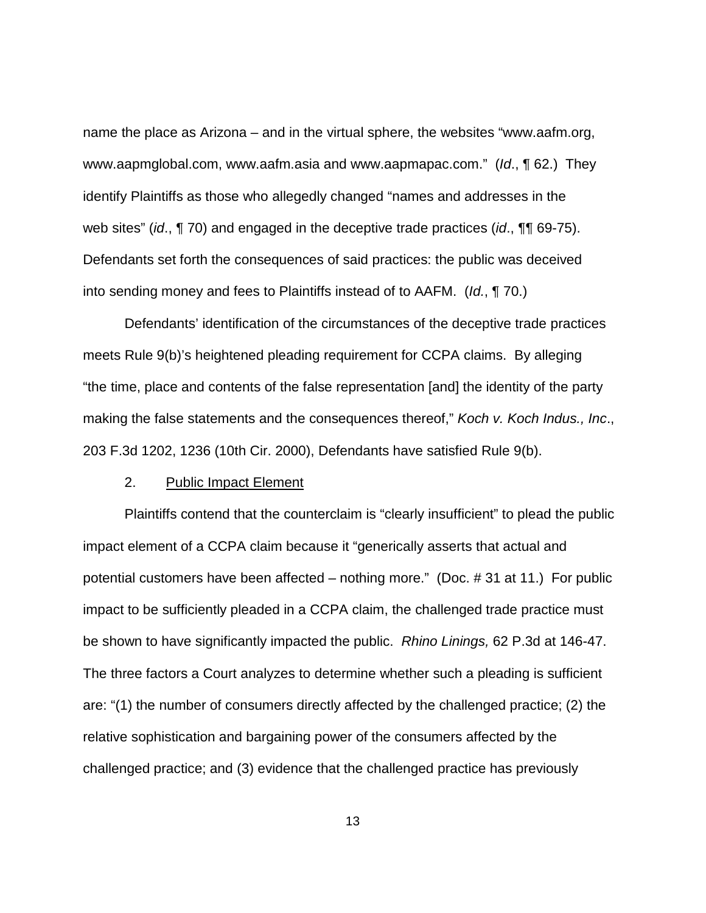name the place as Arizona – and in the virtual sphere, the websites "www.aafm.org, www.aapmglobal.com, www.aafm.asia and www.aapmapac.com." (Id., ¶ 62.) They identify Plaintiffs as those who allegedly changed "names and addresses in the web sites" (id.,  $\P$  70) and engaged in the deceptive trade practices (id.,  $\P$ , 69-75). Defendants set forth the consequences of said practices: the public was deceived into sending money and fees to Plaintiffs instead of to AAFM. (Id., ¶ 70.)

Defendants' identification of the circumstances of the deceptive trade practices meets Rule 9(b)'s heightened pleading requirement for CCPA claims. By alleging "the time, place and contents of the false representation [and] the identity of the party making the false statements and the consequences thereof," Koch v. Koch Indus., Inc., 203 F.3d 1202, 1236 (10th Cir. 2000), Defendants have satisfied Rule 9(b).

### 2. Public Impact Element

Plaintiffs contend that the counterclaim is "clearly insufficient" to plead the public impact element of a CCPA claim because it "generically asserts that actual and potential customers have been affected – nothing more." (Doc. # 31 at 11.) For public impact to be sufficiently pleaded in a CCPA claim, the challenged trade practice must be shown to have significantly impacted the public. Rhino Linings, 62 P.3d at 146-47. The three factors a Court analyzes to determine whether such a pleading is sufficient are: "(1) the number of consumers directly affected by the challenged practice; (2) the relative sophistication and bargaining power of the consumers affected by the challenged practice; and (3) evidence that the challenged practice has previously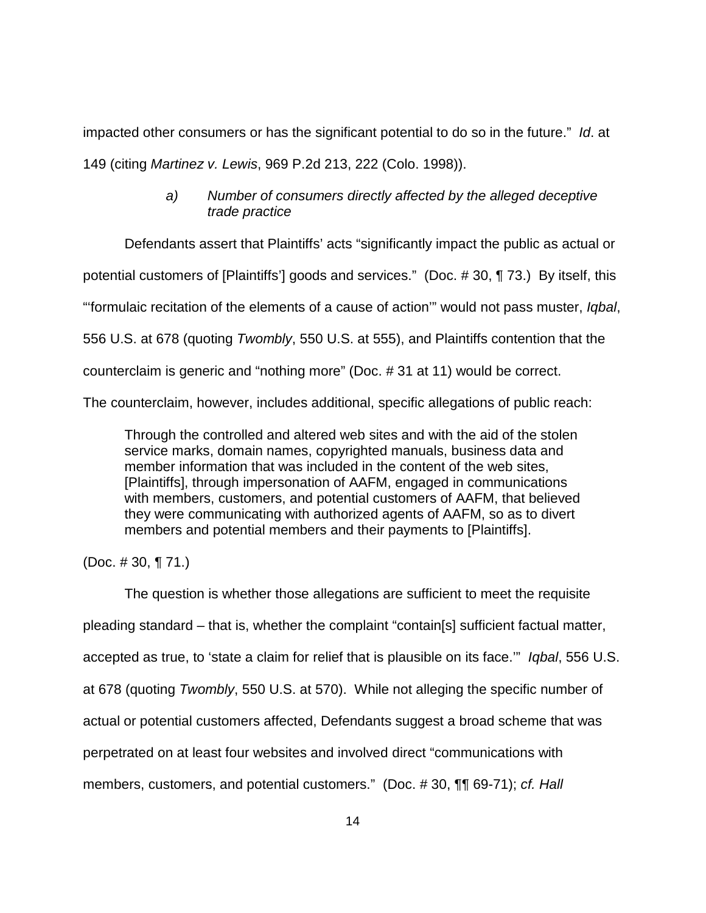impacted other consumers or has the significant potential to do so in the future." Id. at 149 (citing Martinez v. Lewis, 969 P.2d 213, 222 (Colo. 1998)).

# a) Number of consumers directly affected by the alleged deceptive trade practice

Defendants assert that Plaintiffs' acts "significantly impact the public as actual or

potential customers of [Plaintiffs'] goods and services." (Doc. # 30, ¶ 73.) By itself, this

"'formulaic recitation of the elements of a cause of action'" would not pass muster, Iqbal,

556 U.S. at 678 (quoting Twombly, 550 U.S. at 555), and Plaintiffs contention that the

counterclaim is generic and "nothing more" (Doc. # 31 at 11) would be correct.

The counterclaim, however, includes additional, specific allegations of public reach:

Through the controlled and altered web sites and with the aid of the stolen service marks, domain names, copyrighted manuals, business data and member information that was included in the content of the web sites, [Plaintiffs], through impersonation of AAFM, engaged in communications with members, customers, and potential customers of AAFM, that believed they were communicating with authorized agents of AAFM, so as to divert members and potential members and their payments to [Plaintiffs].

(Doc.  $\# 30, \P 71.$ )

The question is whether those allegations are sufficient to meet the requisite pleading standard – that is, whether the complaint "contain[s] sufficient factual matter, accepted as true, to 'state a claim for relief that is plausible on its face.'" Iqbal, 556 U.S. at 678 (quoting Twombly, 550 U.S. at 570). While not alleging the specific number of actual or potential customers affected, Defendants suggest a broad scheme that was perpetrated on at least four websites and involved direct "communications with members, customers, and potential customers." (Doc. #30, ¶¶ 69-71); cf. Hall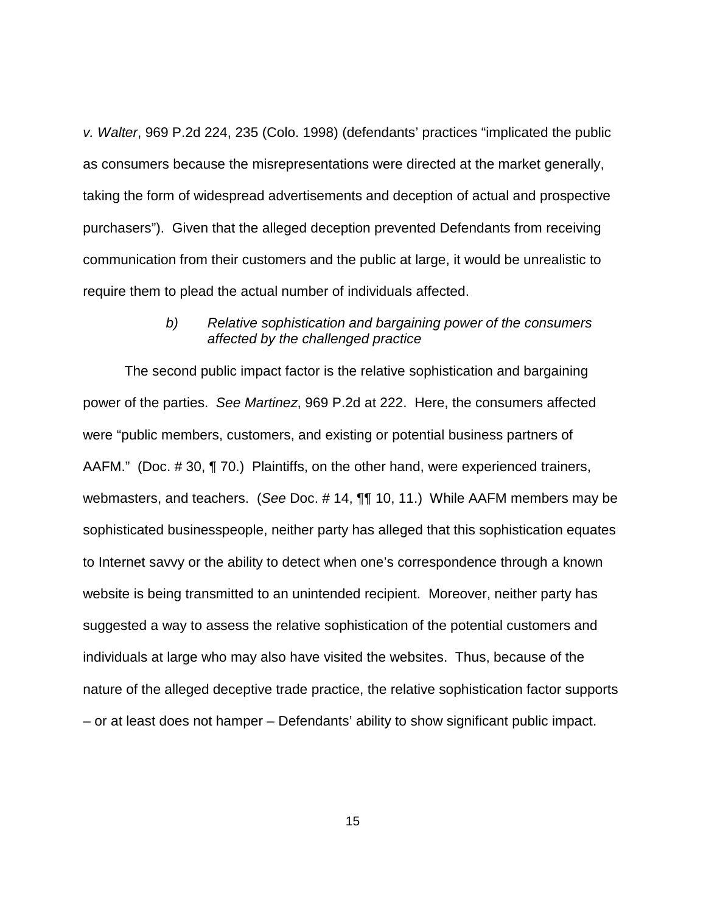v. Walter, 969 P.2d 224, 235 (Colo. 1998) (defendants' practices "implicated the public as consumers because the misrepresentations were directed at the market generally, taking the form of widespread advertisements and deception of actual and prospective purchasers"). Given that the alleged deception prevented Defendants from receiving communication from their customers and the public at large, it would be unrealistic to require them to plead the actual number of individuals affected.

### b) Relative sophistication and bargaining power of the consumers affected by the challenged practice

The second public impact factor is the relative sophistication and bargaining power of the parties. See Martinez, 969 P.2d at 222. Here, the consumers affected were "public members, customers, and existing or potential business partners of AAFM." (Doc. # 30, ¶ 70.) Plaintiffs, on the other hand, were experienced trainers, webmasters, and teachers. (See Doc. # 14, ¶¶ 10, 11.) While AAFM members may be sophisticated businesspeople, neither party has alleged that this sophistication equates to Internet savvy or the ability to detect when one's correspondence through a known website is being transmitted to an unintended recipient. Moreover, neither party has suggested a way to assess the relative sophistication of the potential customers and individuals at large who may also have visited the websites. Thus, because of the nature of the alleged deceptive trade practice, the relative sophistication factor supports – or at least does not hamper – Defendants' ability to show significant public impact.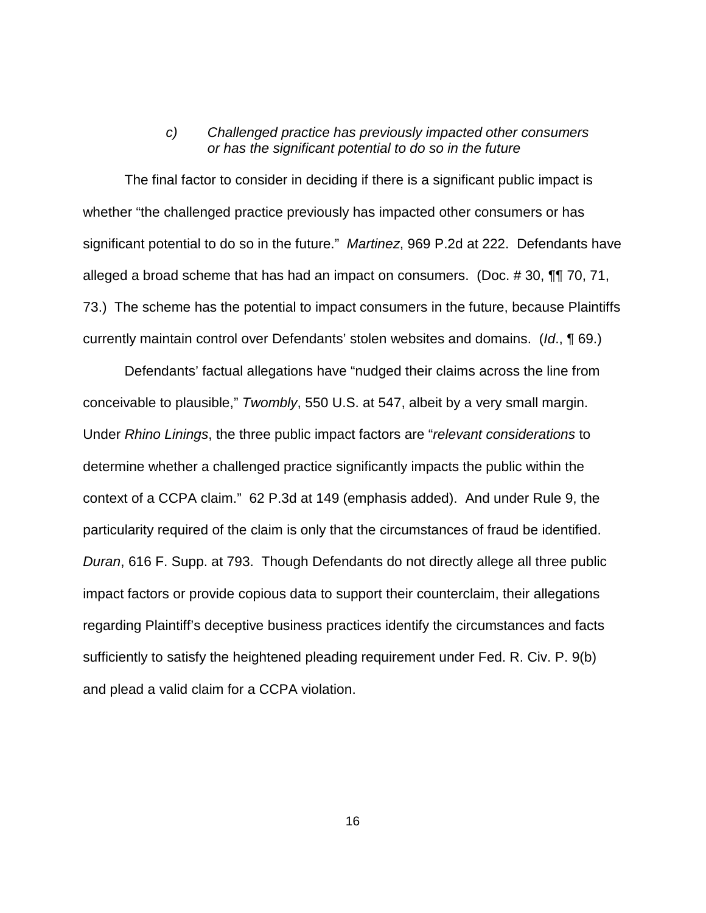### c) Challenged practice has previously impacted other consumers or has the significant potential to do so in the future

The final factor to consider in deciding if there is a significant public impact is whether "the challenged practice previously has impacted other consumers or has significant potential to do so in the future." Martinez, 969 P.2d at 222. Defendants have alleged a broad scheme that has had an impact on consumers. (Doc. # 30, ¶¶ 70, 71, 73.) The scheme has the potential to impact consumers in the future, because Plaintiffs currently maintain control over Defendants' stolen websites and domains. (Id., ¶ 69.)

Defendants' factual allegations have "nudged their claims across the line from conceivable to plausible," Twombly, 550 U.S. at 547, albeit by a very small margin. Under Rhino Linings, the three public impact factors are "relevant considerations to determine whether a challenged practice significantly impacts the public within the context of a CCPA claim." 62 P.3d at 149 (emphasis added). And under Rule 9, the particularity required of the claim is only that the circumstances of fraud be identified. Duran, 616 F. Supp. at 793. Though Defendants do not directly allege all three public impact factors or provide copious data to support their counterclaim, their allegations regarding Plaintiff's deceptive business practices identify the circumstances and facts sufficiently to satisfy the heightened pleading requirement under Fed. R. Civ. P. 9(b) and plead a valid claim for a CCPA violation.